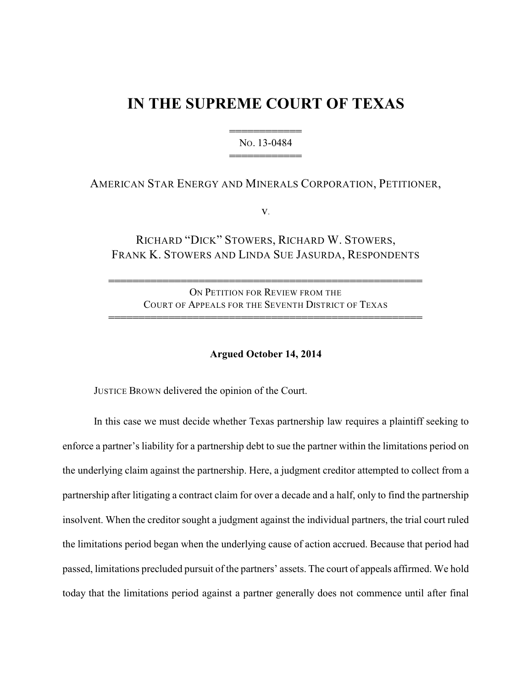# **IN THE SUPREME COURT OF TEXAS**

444444444444 NO. 13-0484 444444444444

# AMERICAN STAR ENERGY AND MINERALS CORPORATION, PETITIONER,

v.

# RICHARD "DICK" STOWERS, RICHARD W. STOWERS, FRANK K. STOWERS AND LINDA SUE JASURDA, RESPONDENTS

ON PETITION FOR REVIEW FROM THE COURT OF APPEALS FOR THE SEVENTH DISTRICT OF TEXAS 4444444444444444444444444444444444444444444444444444

4444444444444444444444444444444444444444444444444444

### **Argued October 14, 2014**

JUSTICE BROWN delivered the opinion of the Court.

In this case we must decide whether Texas partnership law requires a plaintiff seeking to enforce a partner's liability for a partnership debt to sue the partner within the limitations period on the underlying claim against the partnership. Here, a judgment creditor attempted to collect from a partnership after litigating a contract claim for over a decade and a half, only to find the partnership insolvent. When the creditor sought a judgment against the individual partners, the trial court ruled the limitations period began when the underlying cause of action accrued. Because that period had passed, limitations precluded pursuit of the partners' assets. The court of appeals affirmed. We hold today that the limitations period against a partner generally does not commence until after final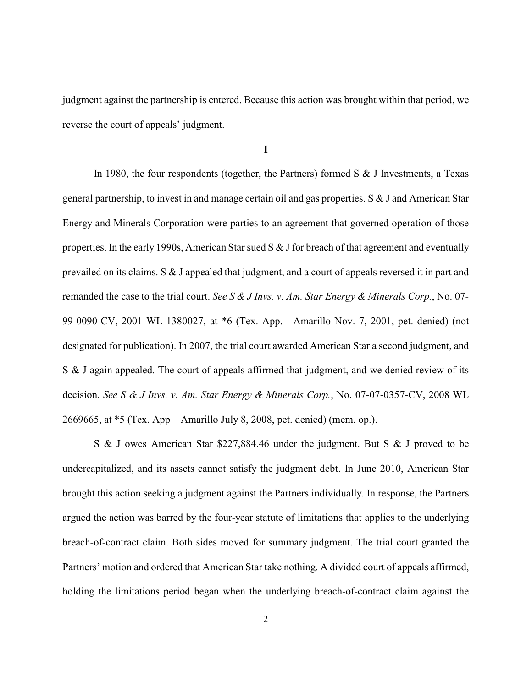judgment against the partnership is entered. Because this action was brought within that period, we reverse the court of appeals' judgment.

**I**

In 1980, the four respondents (together, the Partners) formed  $S \& J$  Investments, a Texas general partnership, to invest in and manage certain oil and gas properties. S & J and American Star Energy and Minerals Corporation were parties to an agreement that governed operation of those properties. In the early 1990s, American Star sued  $S \& J$  for breach of that agreement and eventually prevailed on its claims. S & J appealed that judgment, and a court of appeals reversed it in part and remanded the case to the trial court. *See S & J Invs. v. Am. Star Energy & Minerals Corp.*, No. 07- 99-0090-CV, 2001 WL 1380027, at \*6 (Tex. App.—Amarillo Nov. 7, 2001, pet. denied) (not designated for publication). In 2007, the trial court awarded American Star a second judgment, and S & J again appealed. The court of appeals affirmed that judgment, and we denied review of its decision. *See S & J Invs. v. Am. Star Energy & Minerals Corp.*, No. 07-07-0357-CV, 2008 WL 2669665, at \*5 (Tex. App—Amarillo July 8, 2008, pet. denied) (mem. op.).

S & J owes American Star \$227,884.46 under the judgment. But S & J proved to be undercapitalized, and its assets cannot satisfy the judgment debt. In June 2010, American Star brought this action seeking a judgment against the Partners individually. In response, the Partners argued the action was barred by the four-year statute of limitations that applies to the underlying breach-of-contract claim. Both sides moved for summary judgment. The trial court granted the Partners' motion and ordered that American Star take nothing. A divided court of appeals affirmed, holding the limitations period began when the underlying breach-of-contract claim against the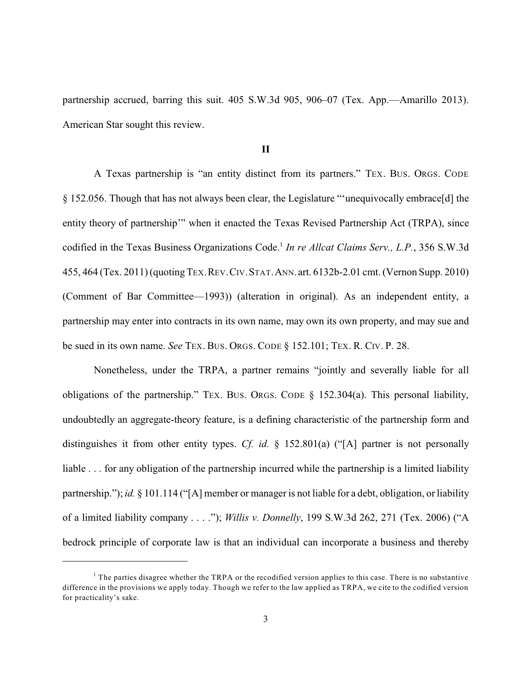partnership accrued, barring this suit. 405 S.W.3d 905, 906–07 (Tex. App.—Amarillo 2013). American Star sought this review.

### **II**

A Texas partnership is "an entity distinct from its partners." TEX. BUS. ORGS. CODE § 152.056. Though that has not always been clear, the Legislature "'unequivocally embrace[d] the entity theory of partnership'" when it enacted the Texas Revised Partnership Act (TRPA), since codified in the Texas Business Organizations Code.<sup>1</sup> In re Allcat Claims Serv., L.P., 356 S.W.3d 455, 464 (Tex. 2011) (quotingTEX.REV.CIV.STAT.ANN.art. 6132b-2.01 cmt. (Vernon Supp. 2010) (Comment of Bar Committee—1993)) (alteration in original). As an independent entity, a partnership may enter into contracts in its own name, may own its own property, and may sue and be sued in its own name. *See* TEX. BUS. ORGS. CODE § 152.101; TEX. R. CIV. P. 28.

Nonetheless, under the TRPA, a partner remains "jointly and severally liable for all obligations of the partnership." TEX. BUS. ORGS. CODE § 152.304(a). This personal liability, undoubtedly an aggregate-theory feature, is a defining characteristic of the partnership form and distinguishes it from other entity types. *Cf. id.* § 152.801(a) ("[A] partner is not personally liable . . . for any obligation of the partnership incurred while the partnership is a limited liability partnership."); *id.* § 101.114 ("[A] member or manager is not liable for a debt, obligation, or liability of a limited liability company . . . ."); *Willis v. Donnelly*, 199 S.W.3d 262, 271 (Tex. 2006) ("A bedrock principle of corporate law is that an individual can incorporate a business and thereby

 $1$  The parties disagree whether the TRPA or the recodified version applies to this case. There is no substantive difference in the provisions we apply today. Though we refer to the law applied as TRPA, we cite to the codified version for practicality's sake.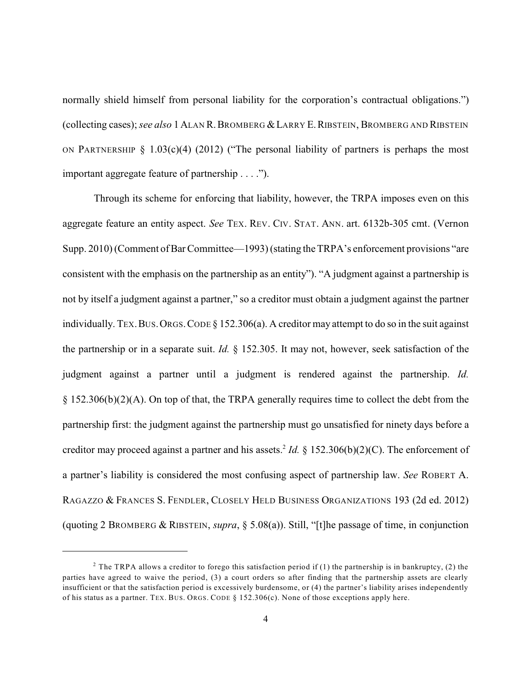normally shield himself from personal liability for the corporation's contractual obligations.") (collecting cases); *see also* 1ALAN R.BROMBERG &LARRY E.RIBSTEIN, BROMBERG AND RIBSTEIN ON PARTNERSHIP § 1.03 $(c)(4)$  (2012) ("The personal liability of partners is perhaps the most important aggregate feature of partnership . . . .").

Through its scheme for enforcing that liability, however, the TRPA imposes even on this aggregate feature an entity aspect. *See* TEX. REV. CIV. STAT. ANN. art. 6132b-305 cmt. (Vernon Supp. 2010) (Comment of Bar Committee—1993) (stating the TRPA's enforcement provisions "are consistent with the emphasis on the partnership as an entity"). "A judgment against a partnership is not by itself a judgment against a partner," so a creditor must obtain a judgment against the partner individually. TEX.BUS.ORGS.CODE § 152.306(a). A creditor may attempt to do so in the suit against the partnership or in a separate suit. *Id.* § 152.305. It may not, however, seek satisfaction of the judgment against a partner until a judgment is rendered against the partnership. *Id.* § 152.306(b)(2)(A). On top of that, the TRPA generally requires time to collect the debt from the partnership first: the judgment against the partnership must go unsatisfied for ninety days before a creditor may proceed against a partner and his assets.<sup>2</sup> *Id.* § 152.306(b)(2)(C). The enforcement of a partner's liability is considered the most confusing aspect of partnership law. *See* ROBERT A. RAGAZZO & FRANCES S. FENDLER, CLOSELY HELD BUSINESS ORGANIZATIONS 193 (2d ed. 2012) (quoting 2 BROMBERG & RIBSTEIN, *supra*, § 5.08(a)). Still, "[t]he passage of time, in conjunction

<sup>&</sup>lt;sup>2</sup> The TRPA allows a creditor to forego this satisfaction period if (1) the partnership is in bankruptcy, (2) the parties have agreed to waive the period, (3) a court orders so after finding that the partnership assets are clearly insufficient or that the satisfaction period is excessively burdensome, or (4) the partner's liability arises independently of his status as a partner. TEX. BUS. ORGS. CODE  $\S$  152.306(c). None of those exceptions apply here.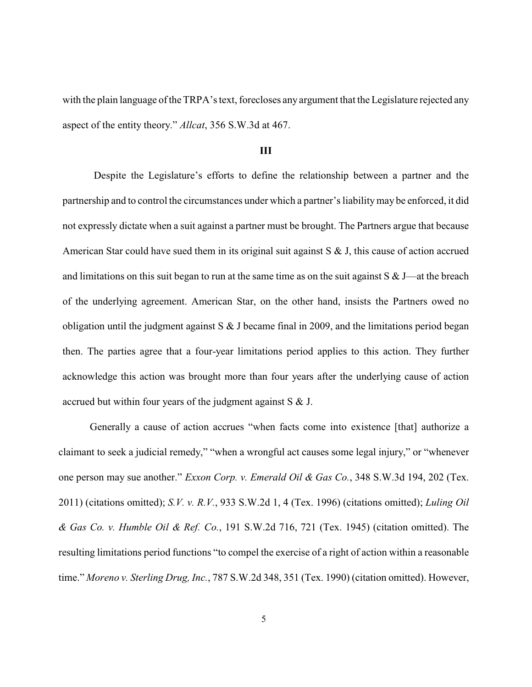with the plain language of the TRPA's text, forecloses any argument that the Legislature rejected any aspect of the entity theory." *Allcat*, 356 S.W.3d at 467.

#### **III**

Despite the Legislature's efforts to define the relationship between a partner and the partnership and to control the circumstances under which a partner's liabilitymay be enforced, it did not expressly dictate when a suit against a partner must be brought. The Partners argue that because American Star could have sued them in its original suit against S & J, this cause of action accrued and limitations on this suit began to run at the same time as on the suit against  $S \& J$ —at the breach of the underlying agreement. American Star, on the other hand, insists the Partners owed no obligation until the judgment against  $S \& J$  became final in 2009, and the limitations period began then. The parties agree that a four-year limitations period applies to this action. They further acknowledge this action was brought more than four years after the underlying cause of action accrued but within four years of the judgment against S & J.

Generally a cause of action accrues "when facts come into existence [that] authorize a claimant to seek a judicial remedy," "when a wrongful act causes some legal injury," or "whenever one person may sue another." *Exxon Corp. v. Emerald Oil & Gas Co.*, 348 S.W.3d 194, 202 (Tex. 2011) (citations omitted); *S.V. v. R.V.*, 933 S.W.2d 1, 4 (Tex. 1996) (citations omitted); *Luling Oil & Gas Co. v. Humble Oil & Ref. Co.*, 191 S.W.2d 716, 721 (Tex. 1945) (citation omitted). The resulting limitations period functions "to compel the exercise of a right of action within a reasonable time." *Moreno v. Sterling Drug, Inc.*, 787 S.W.2d 348, 351 (Tex. 1990) (citation omitted). However,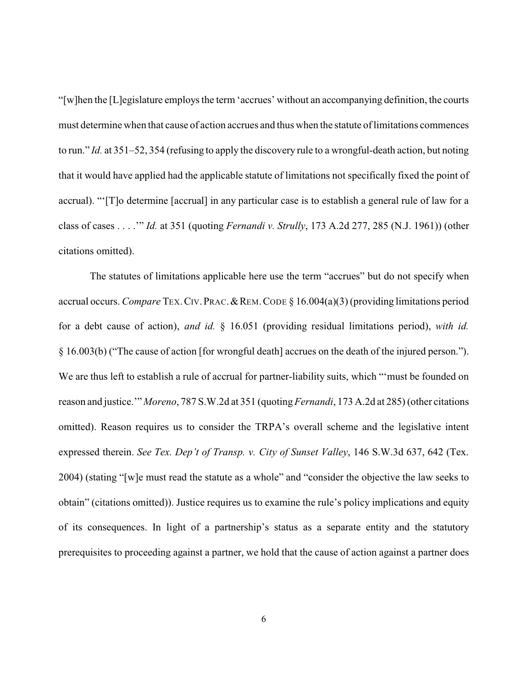"[w]hen the [L]egislature employs the term 'accrues' without an accompanying definition, the courts must determine when that cause of action accrues and thus when the statute of limitations commences to run." *Id.* at 351–52, 354 (refusing to apply the discovery rule to a wrongful-death action, but noting that it would have applied had the applicable statute of limitations not specifically fixed the point of accrual). "'[T]o determine [accrual] in any particular case is to establish a general rule of law for a class of cases . . . .'" *Id.* at 351 (quoting *Fernandi v. Strully*, 173 A.2d 277, 285 (N.J. 1961)) (other citations omitted).

The statutes of limitations applicable here use the term "accrues" but do not specify when accrual occurs. *Compare* TEX.CIV.PRAC.&REM.CODE § 16.004(a)(3) (providing limitations period for a debt cause of action), *and id.* § 16.051 (providing residual limitations period), *with id.* § 16.003(b) ("The cause of action [for wrongful death] accrues on the death of the injured person."). We are thus left to establish a rule of accrual for partner-liability suits, which "'must be founded on reason and justice.'" *Moreno*, 787 S.W.2d at 351 (quoting*Fernandi*, 173 A.2d at 285) (other citations omitted). Reason requires us to consider the TRPA's overall scheme and the legislative intent expressed therein. *See Tex. Dep't of Transp. v. City of Sunset Valley*, 146 S.W.3d 637, 642 (Tex. 2004) (stating "[w]e must read the statute as a whole" and "consider the objective the law seeks to obtain" (citations omitted)). Justice requires us to examine the rule's policy implications and equity of its consequences. In light of a partnership's status as a separate entity and the statutory prerequisites to proceeding against a partner, we hold that the cause of action against a partner does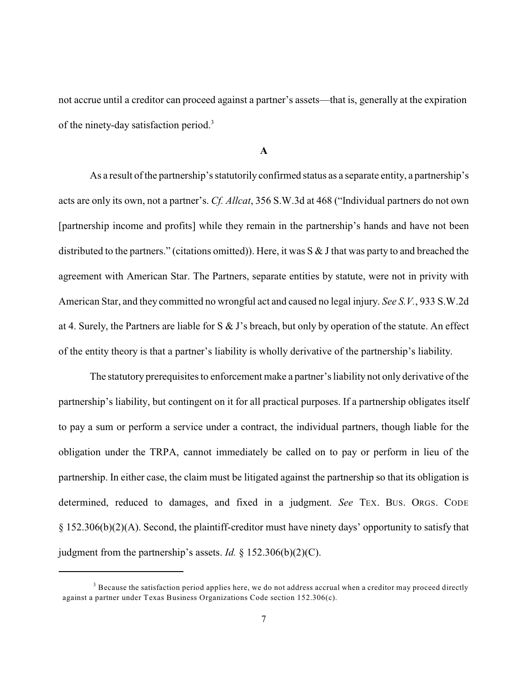not accrue until a creditor can proceed against a partner's assets—that is, generally at the expiration of the ninety-day satisfaction period.<sup>3</sup>

#### **A**

As a result of the partnership's statutorily confirmed status as a separate entity, a partnership's acts are only its own, not a partner's. *Cf. Allcat*, 356 S.W.3d at 468 ("Individual partners do not own [partnership income and profits] while they remain in the partnership's hands and have not been distributed to the partners." (citations omitted)). Here, it was  $S \& J$  that was party to and breached the agreement with American Star. The Partners, separate entities by statute, were not in privity with American Star, and they committed no wrongful act and caused no legal injury. *See S.V.*, 933 S.W.2d at 4. Surely, the Partners are liable for S & J's breach, but only by operation of the statute. An effect of the entity theory is that a partner's liability is wholly derivative of the partnership's liability.

The statutory prerequisites to enforcement make a partner's liability not only derivative of the partnership's liability, but contingent on it for all practical purposes. If a partnership obligates itself to pay a sum or perform a service under a contract, the individual partners, though liable for the obligation under the TRPA, cannot immediately be called on to pay or perform in lieu of the partnership. In either case, the claim must be litigated against the partnership so that its obligation is determined, reduced to damages, and fixed in a judgment. *See* TEX. BUS. ORGS. CODE § 152.306(b)(2)(A). Second, the plaintiff-creditor must have ninety days' opportunity to satisfy that judgment from the partnership's assets. *Id.* § 152.306(b)(2)(C).

 $3$  Because the satisfaction period applies here, we do not address accrual when a creditor may proceed directly against a partner under Texas Business Organizations Code section 152.306(c).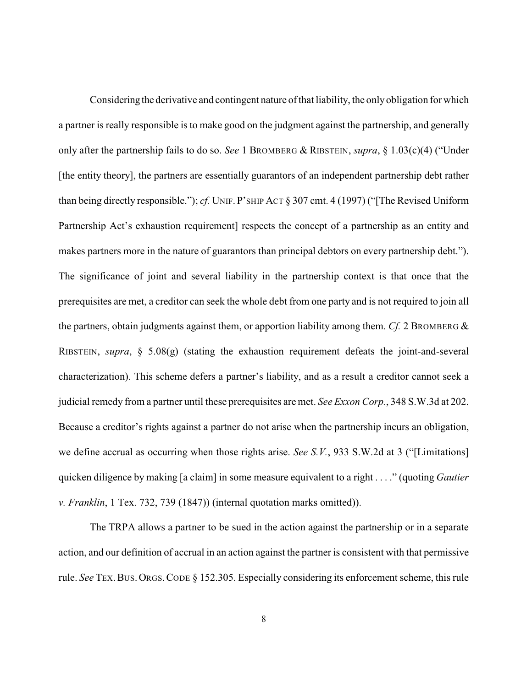Considering the derivative and contingent nature of that liability, the onlyobligation for which a partner is really responsible is to make good on the judgment against the partnership, and generally only after the partnership fails to do so. *See* 1 BROMBERG & RIBSTEIN, *supra*, § 1.03(c)(4) ("Under [the entity theory], the partners are essentially guarantors of an independent partnership debt rather than being directly responsible."); *cf.* UNIF. P'SHIP ACT § 307 cmt. 4 (1997) ("[The Revised Uniform Partnership Act's exhaustion requirement] respects the concept of a partnership as an entity and makes partners more in the nature of guarantors than principal debtors on every partnership debt."). The significance of joint and several liability in the partnership context is that once that the prerequisites are met, a creditor can seek the whole debt from one party and is not required to join all the partners, obtain judgments against them, or apportion liability among them. *Cf.* 2 BROMBERG & RIBSTEIN, *supra*, § 5.08(g) (stating the exhaustion requirement defeats the joint-and-several characterization). This scheme defers a partner's liability, and as a result a creditor cannot seek a judicial remedy from a partner until these prerequisites are met. *See Exxon Corp.*, 348 S.W.3d at 202. Because a creditor's rights against a partner do not arise when the partnership incurs an obligation, we define accrual as occurring when those rights arise. *See S.V.*, 933 S.W.2d at 3 ("[Limitations] quicken diligence by making [a claim] in some measure equivalent to a right . . . ." (quoting *Gautier v. Franklin*, 1 Tex. 732, 739 (1847)) (internal quotation marks omitted)).

The TRPA allows a partner to be sued in the action against the partnership or in a separate action, and our definition of accrual in an action against the partner is consistent with that permissive rule. *See* TEX.BUS.ORGS.CODE § 152.305. Especially considering its enforcement scheme, this rule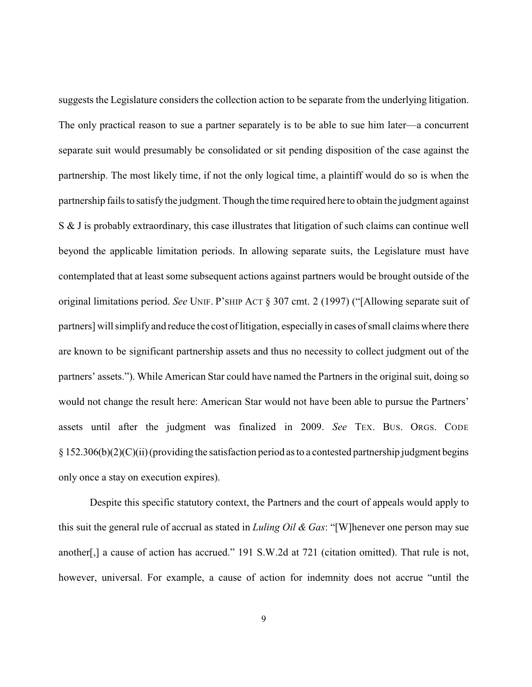suggests the Legislature considers the collection action to be separate from the underlying litigation. The only practical reason to sue a partner separately is to be able to sue him later—a concurrent separate suit would presumably be consolidated or sit pending disposition of the case against the partnership. The most likely time, if not the only logical time, a plaintiff would do so is when the partnership fails to satisfythe judgment. Though the time required here to obtain the judgment against S & J is probably extraordinary, this case illustrates that litigation of such claims can continue well beyond the applicable limitation periods. In allowing separate suits, the Legislature must have contemplated that at least some subsequent actions against partners would be brought outside of the original limitations period. *See* UNIF. P'SHIP ACT § 307 cmt. 2 (1997) ("[Allowing separate suit of partners] will simplifyand reduce the cost of litigation, especially in cases of small claims where there are known to be significant partnership assets and thus no necessity to collect judgment out of the partners' assets."). While American Star could have named the Partners in the original suit, doing so would not change the result here: American Star would not have been able to pursue the Partners' assets until after the judgment was finalized in 2009. *See* TEX. BUS. ORGS. CODE  $\S 152.306(b)(2)(C)(ii)$  (providing the satisfaction period as to a contested partnership judgment begins only once a stay on execution expires).

Despite this specific statutory context, the Partners and the court of appeals would apply to this suit the general rule of accrual as stated in *Luling Oil & Gas*: "[W]henever one person may sue another[,] a cause of action has accrued." 191 S.W.2d at 721 (citation omitted). That rule is not, however, universal. For example, a cause of action for indemnity does not accrue "until the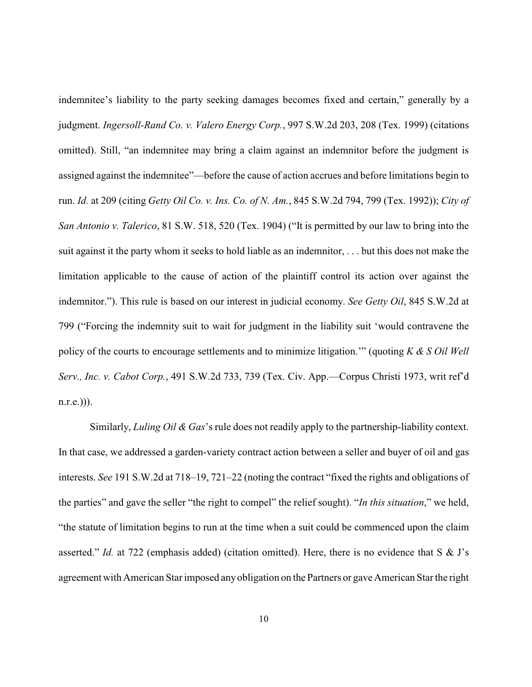indemnitee's liability to the party seeking damages becomes fixed and certain," generally by a judgment. *Ingersoll-Rand Co. v. Valero Energy Corp.*, 997 S.W.2d 203, 208 (Tex. 1999) (citations omitted). Still, "an indemnitee may bring a claim against an indemnitor before the judgment is assigned against the indemnitee"—before the cause of action accrues and before limitations begin to run. *Id.* at 209 (citing *Getty Oil Co. v. Ins. Co. of N. Am.*, 845 S.W.2d 794, 799 (Tex. 1992)); *City of San Antonio v. Talerico*, 81 S.W. 518, 520 (Tex. 1904) ("It is permitted by our law to bring into the suit against it the party whom it seeks to hold liable as an indemnitor, . . . but this does not make the limitation applicable to the cause of action of the plaintiff control its action over against the indemnitor."). This rule is based on our interest in judicial economy. *See Getty Oil*, 845 S.W.2d at 799 ("Forcing the indemnity suit to wait for judgment in the liability suit 'would contravene the policy of the courts to encourage settlements and to minimize litigation.'" (quoting *K & S Oil Well Serv., Inc. v. Cabot Corp.*, 491 S.W.2d 733, 739 (Tex. Civ. App.—Corpus Christi 1973, writ ref'd  $(n.r.e.)$ )).

Similarly, *Luling Oil & Gas*'s rule does not readily apply to the partnership-liability context. In that case, we addressed a garden-variety contract action between a seller and buyer of oil and gas interests. *See* 191 S.W.2d at 718–19, 721–22 (noting the contract "fixed the rights and obligations of the parties" and gave the seller "the right to compel" the relief sought). "*In this situation*," we held, "the statute of limitation begins to run at the time when a suit could be commenced upon the claim asserted." *Id.* at 722 (emphasis added) (citation omitted). Here, there is no evidence that S & J's agreement with American Star imposed anyobligation on the Partners or gave American Star the right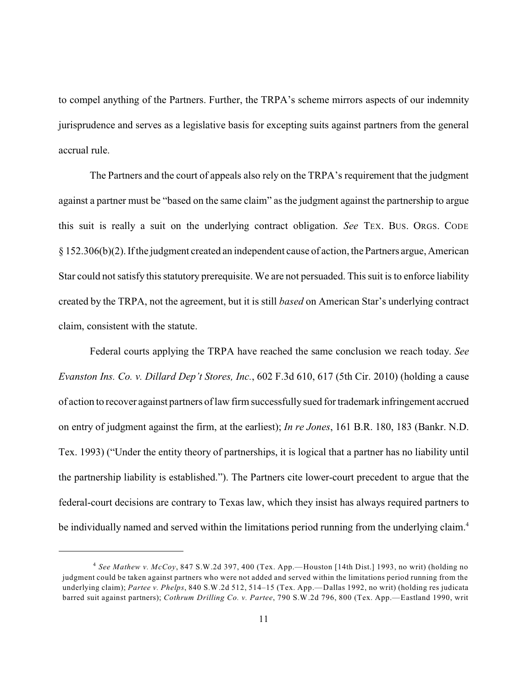to compel anything of the Partners. Further, the TRPA's scheme mirrors aspects of our indemnity jurisprudence and serves as a legislative basis for excepting suits against partners from the general accrual rule.

The Partners and the court of appeals also rely on the TRPA's requirement that the judgment against a partner must be "based on the same claim" as the judgment against the partnership to argue this suit is really a suit on the underlying contract obligation. *See* TEX. BUS. ORGS. CODE § 152.306(b)(2). If the judgment created an independent cause of action, the Partners argue, American Star could not satisfy this statutory prerequisite. We are not persuaded. This suit is to enforce liability created by the TRPA, not the agreement, but it is still *based* on American Star's underlying contract claim, consistent with the statute.

Federal courts applying the TRPA have reached the same conclusion we reach today. *See Evanston Ins. Co. v. Dillard Dep't Stores, Inc.*, 602 F.3d 610, 617 (5th Cir. 2010) (holding a cause of action to recover against partners of law firm successfully sued for trademark infringement accrued on entry of judgment against the firm, at the earliest); *In re Jones*, 161 B.R. 180, 183 (Bankr. N.D. Tex. 1993) ("Under the entity theory of partnerships, it is logical that a partner has no liability until the partnership liability is established."). The Partners cite lower-court precedent to argue that the federal-court decisions are contrary to Texas law, which they insist has always required partners to be individually named and served within the limitations period running from the underlying claim.<sup>4</sup>

*See Mathew v. McCoy*, 847 S.W.2d 397, 400 (Tex. App.—Houston [14th Dist.] 1993, no writ) (holding no 4 judgment could be taken against partners who were not added and served within the limitations period running from the underlying claim); *Partee v. Phelps*, 840 S.W.2d 512, 514–15 (Tex. App.—Dallas 1992, no writ) (holding res judicata barred suit against partners); *Cothrum Drilling Co. v. Partee*, 790 S.W.2d 796, 800 (Tex. App.—Eastland 1990, writ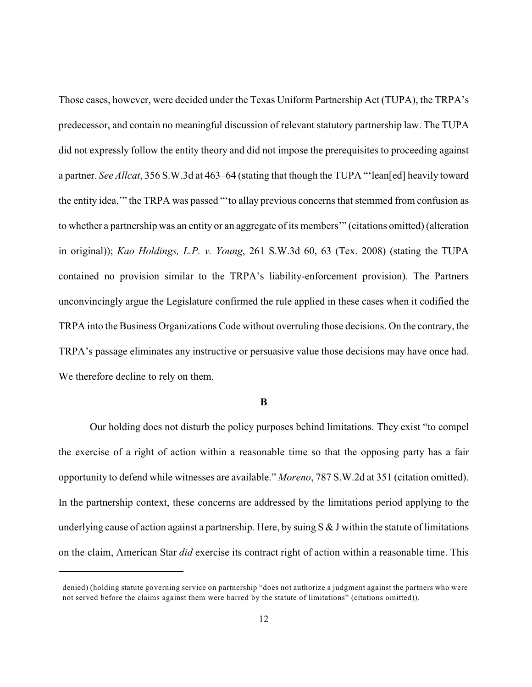Those cases, however, were decided under the Texas Uniform Partnership Act (TUPA), the TRPA's predecessor, and contain no meaningful discussion of relevant statutory partnership law. The TUPA did not expressly follow the entity theory and did not impose the prerequisites to proceeding against a partner. *See Allcat*, 356 S.W.3d at 463–64 (stating that though the TUPA "'lean[ed] heavily toward the entity idea,'" the TRPA was passed "'to allay previous concerns that stemmed from confusion as to whether a partnership was an entity or an aggregate of its members'" (citations omitted) (alteration in original)); *Kao Holdings, L.P. v. Young*, 261 S.W.3d 60, 63 (Tex. 2008) (stating the TUPA contained no provision similar to the TRPA's liability-enforcement provision). The Partners unconvincingly argue the Legislature confirmed the rule applied in these cases when it codified the TRPA into the Business Organizations Code without overruling those decisions. On the contrary, the TRPA's passage eliminates any instructive or persuasive value those decisions may have once had. We therefore decline to rely on them.

#### **B**

Our holding does not disturb the policy purposes behind limitations. They exist "to compel the exercise of a right of action within a reasonable time so that the opposing party has a fair opportunity to defend while witnesses are available." *Moreno*, 787 S.W.2d at 351 (citation omitted). In the partnership context, these concerns are addressed by the limitations period applying to the underlying cause of action against a partnership. Here, by suing  $S & J$  within the statute of limitations on the claim, American Star *did* exercise its contract right of action within a reasonable time. This

denied) (holding statute governing service on partnership "does not authorize a judgment against the partners who were not served before the claims against them were barred by the statute of limitations" (citations omitted)).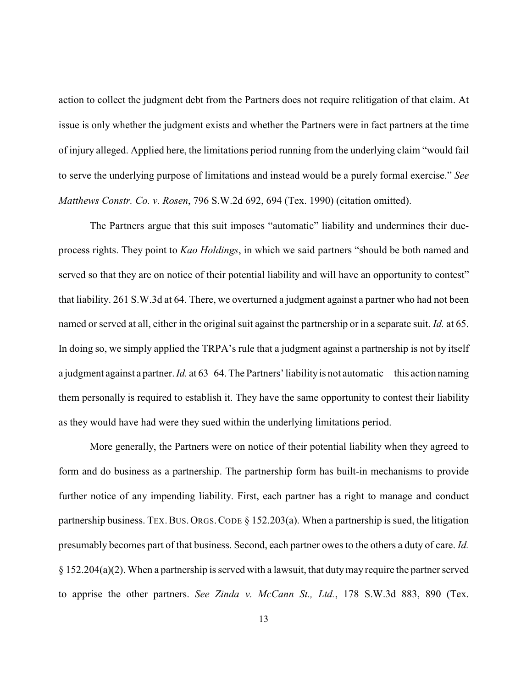action to collect the judgment debt from the Partners does not require relitigation of that claim. At issue is only whether the judgment exists and whether the Partners were in fact partners at the time of injury alleged. Applied here, the limitations period running from the underlying claim "would fail to serve the underlying purpose of limitations and instead would be a purely formal exercise." *See Matthews Constr. Co. v. Rosen*, 796 S.W.2d 692, 694 (Tex. 1990) (citation omitted).

The Partners argue that this suit imposes "automatic" liability and undermines their dueprocess rights. They point to *Kao Holdings*, in which we said partners "should be both named and served so that they are on notice of their potential liability and will have an opportunity to contest" that liability. 261 S.W.3d at 64. There, we overturned a judgment against a partner who had not been named or served at all, either in the original suit against the partnership or in a separate suit. *Id.* at 65. In doing so, we simply applied the TRPA's rule that a judgment against a partnership is not by itself a judgment against a partner. *Id.* at 63–64. The Partners'liabilityis not automatic—this action naming them personally is required to establish it. They have the same opportunity to contest their liability as they would have had were they sued within the underlying limitations period.

More generally, the Partners were on notice of their potential liability when they agreed to form and do business as a partnership. The partnership form has built-in mechanisms to provide further notice of any impending liability. First, each partner has a right to manage and conduct partnership business. TEX. BUS. ORGS. CODE  $\S$  152.203(a). When a partnership is sued, the litigation presumably becomes part of that business. Second, each partner owes to the others a duty of care. *Id.*  $§$  152.204(a)(2). When a partnership is served with a lawsuit, that duty may require the partner served to apprise the other partners. *See Zinda v. McCann St., Ltd.*, 178 S.W.3d 883, 890 (Tex.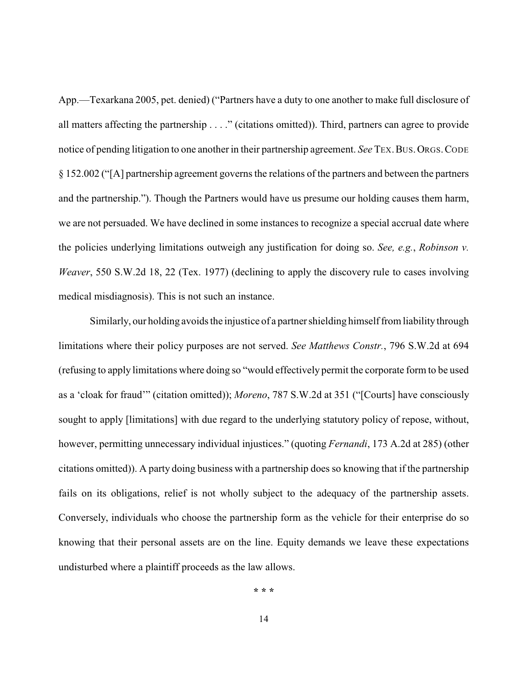App.—Texarkana 2005, pet. denied) ("Partners have a duty to one another to make full disclosure of all matters affecting the partnership . . . ." (citations omitted)). Third, partners can agree to provide notice of pending litigation to one anotherin their partnership agreement. *See* TEX.BUS.ORGS.CODE § 152.002 ("[A] partnership agreement governs the relations of the partners and between the partners and the partnership."). Though the Partners would have us presume our holding causes them harm, we are not persuaded. We have declined in some instances to recognize a special accrual date where the policies underlying limitations outweigh any justification for doing so. *See, e.g.*, *Robinson v. Weaver*, 550 S.W.2d 18, 22 (Tex. 1977) (declining to apply the discovery rule to cases involving medical misdiagnosis). This is not such an instance.

Similarly, our holding avoids the injustice of a partner shielding himself from liability through limitations where their policy purposes are not served. *See Matthews Constr.*, 796 S.W.2d at 694 (refusing to apply limitations where doing so "would effectively permit the corporate form to be used as a 'cloak for fraud'" (citation omitted)); *Moreno*, 787 S.W.2d at 351 ("[Courts] have consciously sought to apply [limitations] with due regard to the underlying statutory policy of repose, without, however, permitting unnecessary individual injustices." (quoting *Fernandi*, 173 A.2d at 285) (other citations omitted)). A party doing business with a partnership does so knowing that if the partnership fails on its obligations, relief is not wholly subject to the adequacy of the partnership assets. Conversely, individuals who choose the partnership form as the vehicle for their enterprise do so knowing that their personal assets are on the line. Equity demands we leave these expectations undisturbed where a plaintiff proceeds as the law allows.

**\* \* \***